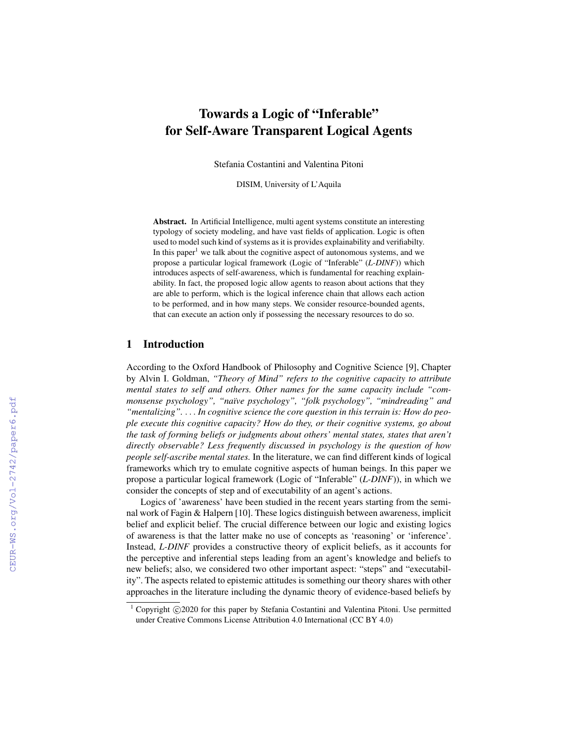# Towards a Logic of "Inferable" for Self-Aware Transparent Logical Agents

Stefania Costantini and Valentina Pitoni

DISIM, University of L'Aquila

Abstract. In Artificial Intelligence, multi agent systems constitute an interesting typology of society modeling, and have vast fields of application. Logic is often used to model such kind of systems as it is provides explainability and verifiabilty. In this paper<sup>1</sup> we talk about the cognitive aspect of autonomous systems, and we propose a particular logical framework (Logic of "Inferable" (*L-DINF*)) which introduces aspects of self-awareness, which is fundamental for reaching explainability. In fact, the proposed logic allow agents to reason about actions that they are able to perform, which is the logical inference chain that allows each action to be performed, and in how many steps. We consider resource-bounded agents, that can execute an action only if possessing the necessary resources to do so.

## 1 Introduction

According to the Oxford Handbook of Philosophy and Cognitive Science [9], Chapter by Alvin I. Goldman, *"Theory of Mind" refers to the cognitive capacity to attribute mental states to self and others. Other names for the same capacity include "commonsense psychology", "na¨ıve psychology", "folk psychology", "mindreading" and "mentalizing".* . . . *In cognitive science the core question in this terrain is: How do people execute this cognitive capacity? How do they, or their cognitive systems, go about the task of forming beliefs or judgments about others' mental states, states that aren't directly observable? Less frequently discussed in psychology is the question of how people self-ascribe mental states.* In the literature, we can find different kinds of logical frameworks which try to emulate cognitive aspects of human beings. In this paper we propose a particular logical framework (Logic of "Inferable" (*L-DINF*)), in which we consider the concepts of step and of executability of an agent's actions.

Logics of 'awareness' have been studied in the recent years starting from the seminal work of Fagin & Halpern [10]. These logics distinguish between awareness, implicit belief and explicit belief. The crucial difference between our logic and existing logics of awareness is that the latter make no use of concepts as 'reasoning' or 'inference'. Instead, *L-DINF* provides a constructive theory of explicit beliefs, as it accounts for the perceptive and inferential steps leading from an agent's knowledge and beliefs to new beliefs; also, we considered two other important aspect: "steps" and "executability". The aspects related to epistemic attitudes is something our theory shares with other approaches in the literature including the dynamic theory of evidence-based beliefs by

 $1$  Copyright  $\odot$ 2020 for this paper by Stefania Costantini and Valentina Pitoni. Use permitted under Creative Commons License Attribution 4.0 International (CC BY 4.0)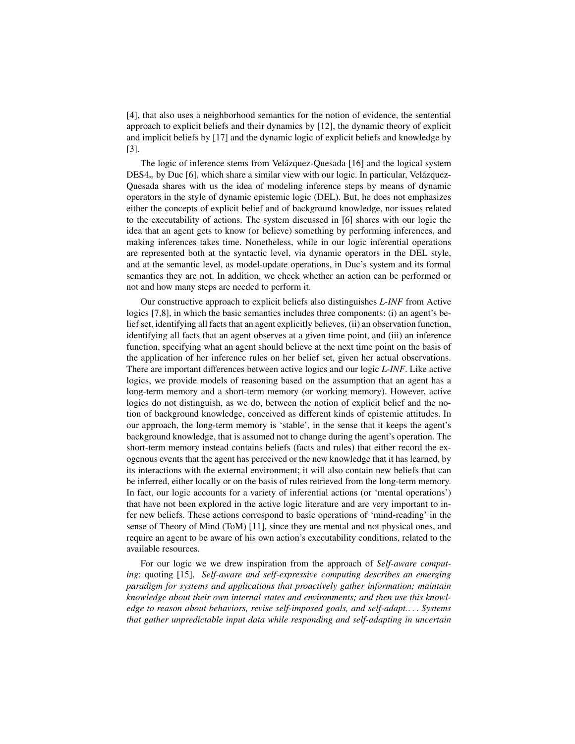[4], that also uses a neighborhood semantics for the notion of evidence, the sentential approach to explicit beliefs and their dynamics by [12], the dynamic theory of explicit and implicit beliefs by [17] and the dynamic logic of explicit beliefs and knowledge by [3].

The logic of inference stems from Velázquez-Quesada [16] and the logical system  $DES4_n$  by Duc [6], which share a similar view with our logic. In particular, Velázquez-Quesada shares with us the idea of modeling inference steps by means of dynamic operators in the style of dynamic epistemic logic (DEL). But, he does not emphasizes either the concepts of explicit belief and of background knowledge, nor issues related to the executability of actions. The system discussed in [6] shares with our logic the idea that an agent gets to know (or believe) something by performing inferences, and making inferences takes time. Nonetheless, while in our logic inferential operations are represented both at the syntactic level, via dynamic operators in the DEL style, and at the semantic level, as model-update operations, in Duc's system and its formal semantics they are not. In addition, we check whether an action can be performed or not and how many steps are needed to perform it.

Our constructive approach to explicit beliefs also distinguishes *L-INF* from Active logics [7,8], in which the basic semantics includes three components: (i) an agent's belief set, identifying all facts that an agent explicitly believes, (ii) an observation function, identifying all facts that an agent observes at a given time point, and (iii) an inference function, specifying what an agent should believe at the next time point on the basis of the application of her inference rules on her belief set, given her actual observations. There are important differences between active logics and our logic *L-INF*. Like active logics, we provide models of reasoning based on the assumption that an agent has a long-term memory and a short-term memory (or working memory). However, active logics do not distinguish, as we do, between the notion of explicit belief and the notion of background knowledge, conceived as different kinds of epistemic attitudes. In our approach, the long-term memory is 'stable', in the sense that it keeps the agent's background knowledge, that is assumed not to change during the agent's operation. The short-term memory instead contains beliefs (facts and rules) that either record the exogenous events that the agent has perceived or the new knowledge that it has learned, by its interactions with the external environment; it will also contain new beliefs that can be inferred, either locally or on the basis of rules retrieved from the long-term memory. In fact, our logic accounts for a variety of inferential actions (or 'mental operations') that have not been explored in the active logic literature and are very important to infer new beliefs. These actions correspond to basic operations of 'mind-reading' in the sense of Theory of Mind (ToM) [11], since they are mental and not physical ones, and require an agent to be aware of his own action's executability conditions, related to the available resources.

For our logic we we drew inspiration from the approach of *Self-aware computing*: quoting [15], *Self-aware and self-expressive computing describes an emerging paradigm for systems and applications that proactively gather information; maintain knowledge about their own internal states and environments; and then use this knowledge to reason about behaviors, revise self-imposed goals, and self-adapt.*. . . *Systems that gather unpredictable input data while responding and self-adapting in uncertain*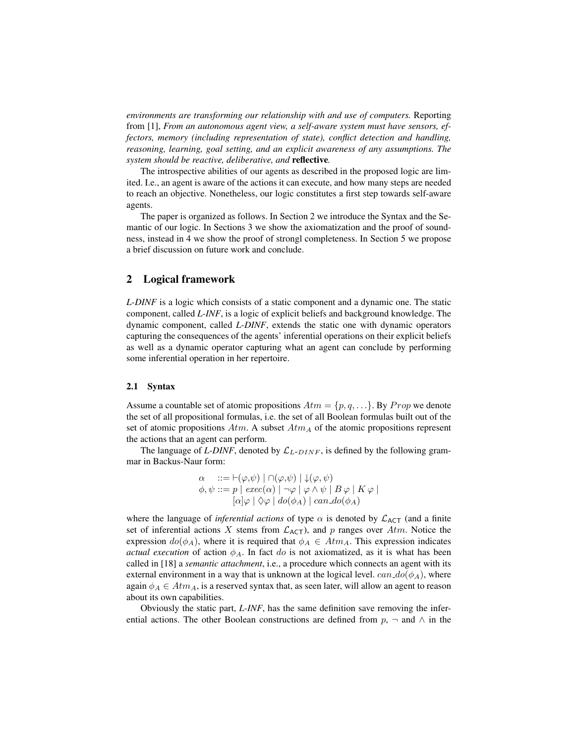*environments are transforming our relationship with and use of computers.* Reporting from [1], *From an autonomous agent view, a self-aware system must have sensors, effectors, memory (including representation of state), conflict detection and handling, reasoning, learning, goal setting, and an explicit awareness of any assumptions. The system should be reactive, deliberative, and* reflective*.*

The introspective abilities of our agents as described in the proposed logic are limited. I.e., an agent is aware of the actions it can execute, and how many steps are needed to reach an objective. Nonetheless, our logic constitutes a first step towards self-aware agents.

The paper is organized as follows. In Section 2 we introduce the Syntax and the Semantic of our logic. In Sections 3 we show the axiomatization and the proof of soundness, instead in 4 we show the proof of strongl completeness. In Section 5 we propose a brief discussion on future work and conclude.

## 2 Logical framework

*L-DINF* is a logic which consists of a static component and a dynamic one. The static component, called *L-INF*, is a logic of explicit beliefs and background knowledge. The dynamic component, called *L-DINF*, extends the static one with dynamic operators capturing the consequences of the agents' inferential operations on their explicit beliefs as well as a dynamic operator capturing what an agent can conclude by performing some inferential operation in her repertoire.

#### 2.1 Syntax

Assume a countable set of atomic propositions  $Atm = \{p, q, ...\}$ . By  $Prop$  we denote the set of all propositional formulas, i.e. the set of all Boolean formulas built out of the set of atomic propositions  $Atm$ . A subset  $Atm<sub>A</sub>$  of the atomic propositions represent the actions that an agent can perform.

The language of *L-DINF*, denoted by  $\mathcal{L}_{L-DINF}$ , is defined by the following grammar in Backus-Naur form:

$$
\alpha : := \vdash (\varphi, \psi) \mid \cap (\varphi, \psi) \mid \downarrow (\varphi, \psi)
$$
  

$$
\phi, \psi ::= p \mid exec(\alpha) \mid \neg \varphi \mid \varphi \land \psi \mid B \varphi \mid K \varphi \mid
$$
  

$$
[\alpha] \varphi \mid \Diamond \varphi \mid do(\phi_A) \mid can \_d(\phi_A)
$$

where the language of *inferential actions* of type  $\alpha$  is denoted by  $\mathcal{L}_{ACT}$  (and a finite set of inferential actions X stems from  $\mathcal{L}_{\mathsf{ACT}}$ ), and p ranges over Atm. Notice the expression  $do(\phi_A)$ , where it is required that  $\phi_A \in Atm_A$ . This expression indicates *actual execution* of action  $\phi_A$ . In fact do is not axiomatized, as it is what has been called in [18] a *semantic attachment*, i.e., a procedure which connects an agent with its external environment in a way that is unknown at the logical level.  $can\_{do}(\phi_A)$ , where again  $\phi_A \in Atm_A$ , is a reserved syntax that, as seen later, will allow an agent to reason about its own capabilities.

Obviously the static part, *L-INF*, has the same definition save removing the inferential actions. The other Boolean constructions are defined from  $p$ ,  $\neg$  and  $\wedge$  in the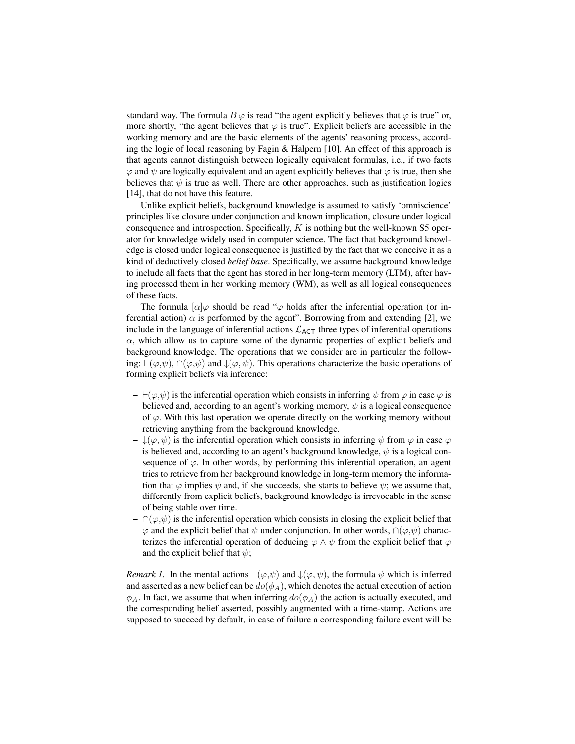standard way. The formula  $B\varphi$  is read "the agent explicitly believes that  $\varphi$  is true" or, more shortly, "the agent believes that  $\varphi$  is true". Explicit beliefs are accessible in the working memory and are the basic elements of the agents' reasoning process, according the logic of local reasoning by Fagin & Halpern [10]. An effect of this approach is that agents cannot distinguish between logically equivalent formulas, i.e., if two facts  $\varphi$  and  $\psi$  are logically equivalent and an agent explicitly believes that  $\varphi$  is true, then she believes that  $\psi$  is true as well. There are other approaches, such as justification logics [14], that do not have this feature.

Unlike explicit beliefs, background knowledge is assumed to satisfy 'omniscience' principles like closure under conjunction and known implication, closure under logical consequence and introspection. Specifically, K is nothing but the well-known S5 operator for knowledge widely used in computer science. The fact that background knowledge is closed under logical consequence is justified by the fact that we conceive it as a kind of deductively closed *belief base*. Specifically, we assume background knowledge to include all facts that the agent has stored in her long-term memory (LTM), after having processed them in her working memory (WM), as well as all logical consequences of these facts.

The formula  $\lbrack \alpha \rbrack \varphi$  should be read " $\varphi$  holds after the inferential operation (or inferential action)  $\alpha$  is performed by the agent". Borrowing from and extending [2], we include in the language of inferential actions  $\mathcal{L}_{ACT}$  three types of inferential operations  $\alpha$ , which allow us to capture some of the dynamic properties of explicit beliefs and background knowledge. The operations that we consider are in particular the following:  $(\varphi, \psi)$ ,  $\cap(\varphi, \psi)$  and  $\downarrow(\varphi, \psi)$ . This operations characterize the basic operations of forming explicit beliefs via inference:

- $\vdash(\varphi,\psi)$  is the inferential operation which consists in inferring  $\psi$  from  $\varphi$  in case  $\varphi$  is believed and, according to an agent's working memory,  $\psi$  is a logical consequence of  $\varphi$ . With this last operation we operate directly on the working memory without retrieving anything from the background knowledge.
- $\rightarrow \mathcal{L}(\varphi, \psi)$  is the inferential operation which consists in inferring  $\psi$  from  $\varphi$  in case  $\varphi$ is believed and, according to an agent's background knowledge,  $\psi$  is a logical consequence of  $\varphi$ . In other words, by performing this inferential operation, an agent tries to retrieve from her background knowledge in long-term memory the information that  $\varphi$  implies  $\psi$  and, if she succeeds, she starts to believe  $\psi$ ; we assume that, differently from explicit beliefs, background knowledge is irrevocable in the sense of being stable over time.
- $\cap$   $(\varphi, \psi)$  is the inferential operation which consists in closing the explicit belief that  $\varphi$  and the explicit belief that  $\psi$  under conjunction. In other words,  $\cap(\varphi,\psi)$  characterizes the inferential operation of deducing  $\varphi \wedge \psi$  from the explicit belief that  $\varphi$ and the explicit belief that  $\psi$ ;

*Remark 1.* In the mental actions  $\vdash(\varphi,\psi)$  and  $\downarrow(\varphi,\psi)$ , the formula  $\psi$  which is inferred and asserted as a new belief can be  $do(\phi_A)$ , which denotes the actual execution of action  $\phi_A$ . In fact, we assume that when inferring  $do(\phi_A)$  the action is actually executed, and the corresponding belief asserted, possibly augmented with a time-stamp. Actions are supposed to succeed by default, in case of failure a corresponding failure event will be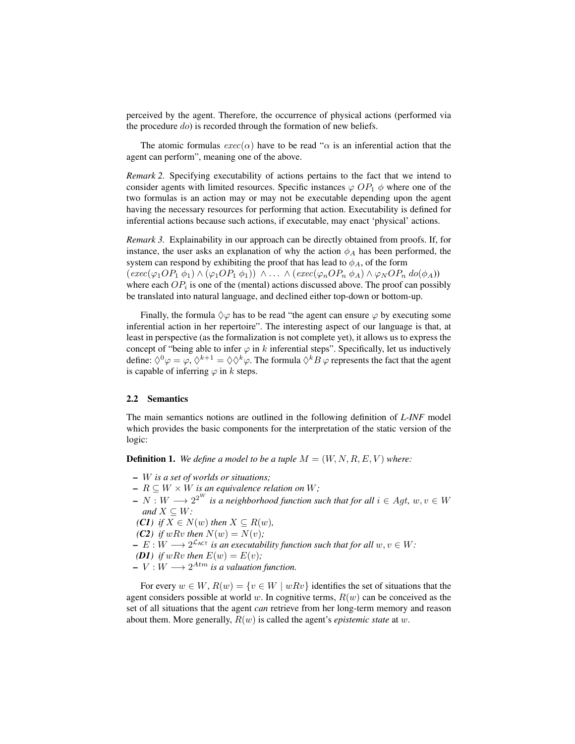perceived by the agent. Therefore, the occurrence of physical actions (performed via the procedure  $do$ ) is recorded through the formation of new beliefs.

The atomic formulas  $exec(\alpha)$  have to be read " $\alpha$  is an inferential action that the agent can perform", meaning one of the above.

*Remark 2.* Specifying executability of actions pertains to the fact that we intend to consider agents with limited resources. Specific instances  $\varphi$  OP<sub>1</sub>  $\phi$  where one of the two formulas is an action may or may not be executable depending upon the agent having the necessary resources for performing that action. Executability is defined for inferential actions because such actions, if executable, may enact 'physical' actions.

*Remark 3.* Explainability in our approach can be directly obtained from proofs. If, for instance, the user asks an explanation of why the action  $\phi_A$  has been performed, the system can respond by exhibiting the proof that has lead to  $\phi_A$ , of the form  $(exec(\varphi_1OP_1 \phi_1) \wedge (\varphi_1OP_1 \phi_1)) \wedge ... \wedge (exec(\varphi_nOP_n \phi_A) \wedge \varphi_NOP_n \, do(\phi_A))$ where each  $OP_i$  is one of the (mental) actions discussed above. The proof can possibly be translated into natural language, and declined either top-down or bottom-up.

Finally, the formula  $\Diamond \varphi$  has to be read "the agent can ensure  $\varphi$  by executing some inferential action in her repertoire". The interesting aspect of our language is that, at least in perspective (as the formalization is not complete yet), it allows us to express the concept of "being able to infer  $\varphi$  in k inferential steps". Specifically, let us inductively define:  $\Diamond^0 \varphi = \varphi$ ,  $\Diamond^{k+1} = \Diamond \Diamond^k \varphi$ . The formula  $\Diamond^k B \varphi$  represents the fact that the agent is capable of inferring  $\varphi$  in k steps.

#### 2.2 Semantics

The main semantics notions are outlined in the following definition of *L-INF* model which provides the basic components for the interpretation of the static version of the logic:

**Definition 1.** We define a model to be a tuple  $M = (W, N, R, E, V)$  where:

- W *is a set of worlds or situations;*
- $R \subseteq W \times W$  *is an equivalence relation on* W;
- $N : W \longrightarrow 2^{2^W}$  is a neighborhood function such that for all  $i \in Agt, w, v \in W$ *and*  $X \subseteq W$ *:*

*(C1) if*  $X \text{ ∈ } N(w)$  *then*  $X \text{ ⊆ } R(w)$ *,* 

- *(C2) if*  $wRv$  *then*  $N(w) = N(v)$ ;
- $E : W \longrightarrow 2^{\mathcal{L}_{\text{ACT}}}$  *is an executability function such that for all*  $w, v \in W$ :

**(D1)** if wRv then 
$$
E(w) = E(v)
$$
;

 $- V : W \longrightarrow 2^{Atm}$  is a valuation function.

For every  $w \in W$ ,  $R(w) = \{v \in W \mid wRv\}$  identifies the set of situations that the agent considers possible at world w. In cognitive terms,  $R(w)$  can be conceived as the set of all situations that the agent *can* retrieve from her long-term memory and reason about them. More generally, R(w) is called the agent's *epistemic state* at w.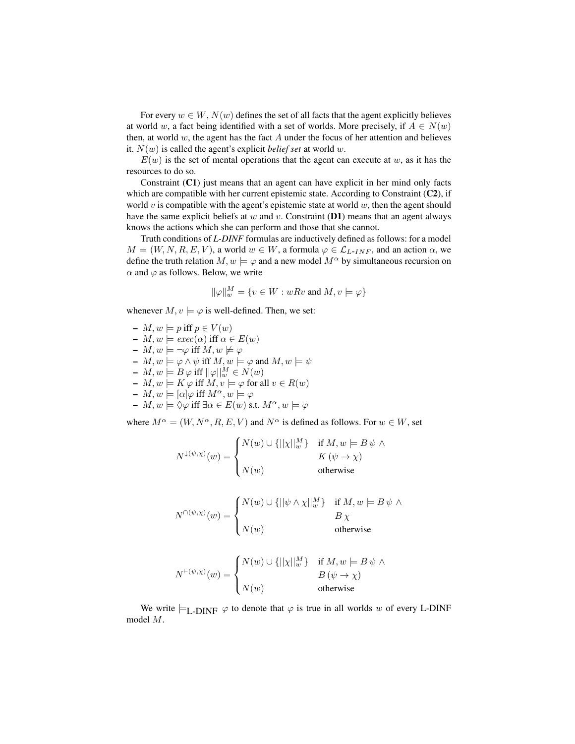For every  $w \in W$ ,  $N(w)$  defines the set of all facts that the agent explicitly believes at world w, a fact being identified with a set of worlds. More precisely, if  $A \in N(w)$ then, at world  $w$ , the agent has the fact  $A$  under the focus of her attention and believes it.  $N(w)$  is called the agent's explicit *belief set* at world w.

 $E(w)$  is the set of mental operations that the agent can execute at w, as it has the resources to do so.

Constraint  $(C1)$  just means that an agent can have explicit in her mind only facts which are compatible with her current epistemic state. According to Constraint  $(C2)$ , if world v is compatible with the agent's epistemic state at world  $w$ , then the agent should have the same explicit beliefs at  $w$  and  $v$ . Constraint (D1) means that an agent always knows the actions which she can perform and those that she cannot.

Truth conditions of *L-DINF* formulas are inductively defined as follows: for a model  $M = (W, N, R, E, V)$ , a world  $w \in W$ , a formula  $\varphi \in \mathcal{L}_{L-INF}$ , and an action  $\alpha$ , we define the truth relation  $M, w \models \varphi$  and a new model  $M^{\alpha}$  by simultaneous recursion on  $\alpha$  and  $\varphi$  as follows. Below, we write

$$
\|\varphi\|_w^M=\{v\in W: wRv \text{ and } M,v\models \varphi\}
$$

whenever  $M, v \models \varphi$  is well-defined. Then, we set:

 $-M$ ,  $w \models p$  iff  $p \in V(w)$  $-M$ ,  $w \models \text{exec}(\alpha)$  iff  $\alpha \in E(w)$ –  $M, w \models \neg \varphi$  iff  $M, w \not\models \varphi$  $- M, w \models \varphi \land \psi$  iff  $M, w \models \varphi$  and  $M, w \models \psi$  $- M, w \models B \varphi \text{ iff } ||\varphi||_w^M \in N(w)$  $-M, w \models K \varphi$  iff  $M, v \models \varphi$  for all  $v \in R(w)$  $-M, w \models [\alpha] \varphi$  iff  $M^{\alpha}, w \models \varphi$  $- M, w \models \Diamond \varphi$  iff  $\exists \alpha \in E(w) \text{ s.t. } M^{\alpha}, w \models \varphi$ 

where  $M^{\alpha} = (W, N^{\alpha}, R, E, V)$  and  $N^{\alpha}$  is defined as follows. For  $w \in W$ , set

$$
N^{\downarrow (\psi, \chi)}(w) = \begin{cases} N(w) \cup \{ ||\chi||_w^M \} & \text{if } M, w \models B \, \psi \, \wedge \\ & K \, (\psi \to \chi) \\ N(w) & \text{otherwise} \end{cases}
$$

$$
N^{\cap(\psi,\chi)}(w) = \begin{cases} N(w) \cup \{ ||\psi \wedge \chi||_w^M \} & \text{if } M, w \models B \psi \wedge \\ N(w) & B \chi \\ \text{otherwise} \end{cases}
$$

$$
N^{\vdash (\psi, \chi)}(w) = \begin{cases} N(w) \cup \{ ||\chi||_w^M \} & \text{if } M, w \models B \, \psi \, \wedge \\ & B \, (\psi \to \chi) \\ N(w) & \text{otherwise} \end{cases}
$$

We write  $\models_{L-DINF} \varphi$  to denote that  $\varphi$  is true in all worlds w of every L-DINF model M.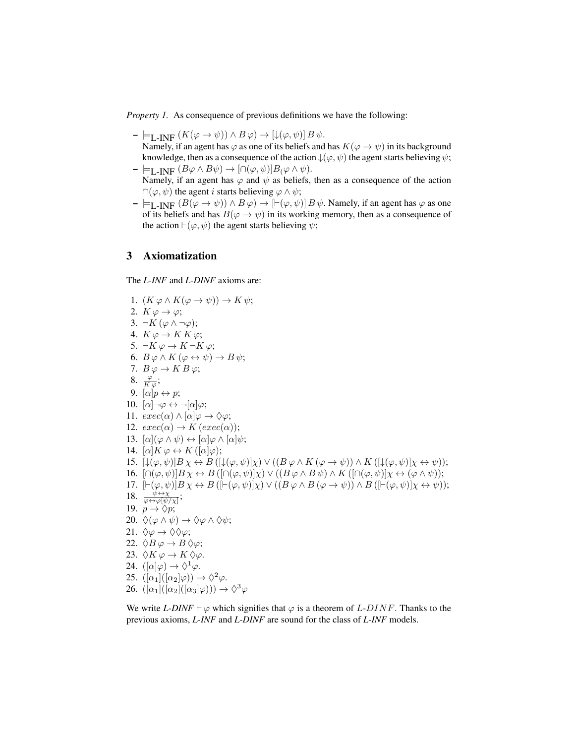*Property 1.* As consequence of previous definitions we have the following:

- $\models$ <sub>L-INF</sub>  $(K(\varphi \to \psi)) \land B \varphi) \to [\downarrow(\varphi, \psi)] B \psi.$ Namely, if an agent has  $\varphi$  as one of its beliefs and has  $K(\varphi \to \psi)$  in its background knowledge, then as a consequence of the action  $\downarrow(\varphi, \psi)$  the agent starts believing  $\psi$ ;
- $\models$ <sub>L-INF</sub>  $(B\varphi \wedge B\psi) \rightarrow [\cap(\varphi,\psi)]B_{(\varphi} \wedge \psi).$ Namely, if an agent has  $\varphi$  and  $\psi$  as beliefs, then as a consequence of the action  $\cap(\varphi,\psi)$  the agent *i* starts believing  $\varphi \wedge \psi$ ;
- $\models$  L-INF  $(B(\varphi \rightarrow \psi)) \land B \varphi) \rightarrow [[\vdash(\varphi, \psi)] B \psi$ . Namely, if an agent has  $\varphi$  as one of its beliefs and has  $B(\varphi \to \psi)$  in its working memory, then as a consequence of the action  $\vdash(\varphi, \psi)$  the agent starts believing  $\psi$ ;

## 3 Axiomatization

The *L-INF* and *L-DINF* axioms are:

1. 
$$
(K \varphi \wedge K(\varphi \rightarrow \psi)) \rightarrow K \psi
$$
;  
\n2.  $K \varphi \rightarrow \varphi$ ;  
\n3.  $\neg K (\varphi \wedge \neg \varphi)$ ;  
\n4.  $K \varphi \rightarrow K K \varphi$ ;  
\n5.  $\neg K \varphi \rightarrow K \neg K \varphi$ ;  
\n6.  $B \varphi \wedge K (\varphi \leftrightarrow \psi) \rightarrow B \psi$ ;  
\n7.  $B \varphi \rightarrow K B \varphi$ ;  
\n8.  $\frac{\varphi}{K \varphi}$ ;  
\n9.  $\left[\alpha \middle| \rho \leftrightarrow p$ ;  
\n10.  $\left[\alpha \middle| \neg \varphi \leftrightarrow \neg[\alpha] \varphi\right]$ ;  
\n11.  $exec(\alpha) \wedge \left[\alpha \middle| \varphi \rightarrow \Diamond \varphi\right]$ ;  
\n12.  $exec(\alpha) \rightarrow K (exec(\alpha))$ ;  
\n13.  $\left[\alpha \middle| K \varphi \leftrightarrow K([\alpha] \varphi) \right]$ ;  
\n14.  $\left[\alpha \middle| K \varphi \leftrightarrow K([\alpha] \varphi) \right]$ ;  
\n15.  $\left[\downarrow (\varphi, \psi)] B \chi \leftrightarrow B([\downarrow (\varphi, \psi)] \chi) \vee ((B \varphi \wedge K (\varphi \rightarrow \psi)) \wedge K([\downarrow (\varphi, \psi)] \chi \leftrightarrow \psi) \right]$ ;  
\n16.  $\left[\cap (\varphi, \psi)] B \chi \leftrightarrow B([\cap (\varphi, \psi)] \chi) \vee ((B \varphi \wedge B \psi) \wedge K([\cap (\varphi, \psi)] \chi \leftrightarrow \langle \varphi \wedge \psi) \right)]$ ;  
\n17.  $\left[\neg (\varphi, \psi)] B \chi \leftrightarrow B([\neg (\varphi, \psi)] \chi) \vee ((B \varphi \wedge B (\varphi \rightarrow \psi)) \wedge B([\neg (\varphi, \psi)] \chi \leftrightarrow \psi) \right]$ ;  
\n18.  $\frac{\psi \leftrightarrow \psi}{\varphi \leftrightarrow \psi \psi} \overline{\chi}$ ;  
\n19.  $\rho \rightarrow \Diamond p$ ;  
\n20.  $\Diamond (\varphi \wedge \psi) \rightarrow \Diamond \varphi \wedge \Diamond \psi$ ;  
\n21.  $\Diamond \varphi \rightarrow \Diamond \Diamond \varphi$ ;<

We write *L-DINF*  $\vdash \varphi$  which signifies that  $\varphi$  is a theorem of *L-DINF*. Thanks to the previous axioms, *L-INF* and *L-DINF* are sound for the class of *L-INF* models.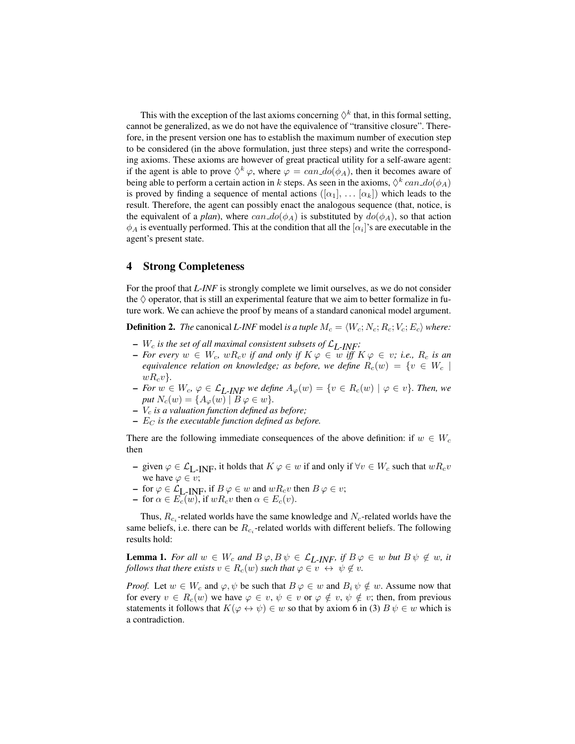This with the exception of the last axioms concerning  $\Diamond^k$  that, in this formal setting, cannot be generalized, as we do not have the equivalence of "transitive closure". Therefore, in the present version one has to establish the maximum number of execution step to be considered (in the above formulation, just three steps) and write the corresponding axioms. These axioms are however of great practical utility for a self-aware agent: if the agent is able to prove  $\Diamond^k \varphi$ , where  $\varphi = \text{can}_d o(\phi_A)$ , then it becomes aware of being able to perform a certain action in k steps. As seen in the axioms,  $\Diamond^k can \phi(\phi_A)$ is proved by finding a sequence of mental actions  $([\alpha_1], \ldots [\alpha_k])$  which leads to the result. Therefore, the agent can possibly enact the analogous sequence (that, notice, is the equivalent of a *plan*), where  $can\_do(\phi_A)$  is substituted by  $do(\phi_A)$ , so that action  $\phi_A$  is eventually performed. This at the condition that all the  $[\alpha_i]$ 's are executable in the agent's present state.

#### 4 Strong Completeness

For the proof that *L-INF* is strongly complete we limit ourselves, as we do not consider the  $\Diamond$  operator, that is still an experimental feature that we aim to better formalize in future work. We can achieve the proof by means of a standard canonical model argument.

**Definition 2.** *The* canonical *L-INF* model *is a tuple*  $M_c = \langle W_c; N_c; R_c; V_c; E_c \rangle$  *where:* 

- $W_c$  *is the set of all maximal consistent subsets of*  $\mathcal{L}_{L-INF}$ *;*
- $\textit{I}$  *− For every*  $w \in W_c$ ,  $wR_c v$  *if and only if*  $K \varphi \in w$  *iff*  $K \varphi \in v$ *; i.e.,*  $R_c$  *is an equivalence relation on knowledge; as before, we define*  $R_c(w) = \{v \in W_c \mid$  $wR_{c}v$ <sup>}</sup>.
- $\textit{I}$  *− For*  $w \in W_c$ ,  $\varphi \in \mathcal{L}_{I}$ <sub>*-INF*</sub> we define  $A_{\varphi}(w) = \{v \in R_c(w) \mid \varphi \in v\}$ *. Then, we put*  $N_c(w) = \{A_\varphi(w) \mid B\varphi \in w\}.$
- $V_c$  *is a valuation function defined as before*;
- $E_C$  *is the executable function defined as before.*

There are the following immediate consequences of the above definition: if  $w \in W_c$ then

- given  $\varphi \in \mathcal{L}_{L-INF}$ , it holds that  $K \varphi \in w$  if and only if  $\forall v \in W_c$  such that  $wR_c v$ we have  $\varphi \in v$ ;
- for  $\varphi \in \mathcal{L}_{L-INF}$ , if  $B\varphi \in w$  and  $wR_c v$  then  $B\varphi \in v$ ;
- for  $\alpha \in E_c(\overline{w})$ , if  $wR_c v$  then  $\alpha \in E_c(v)$ .

Thus,  $R_{c_i}$ -related worlds have the same knowledge and  $N_c$ -related worlds have the same beliefs, i.e. there can be  $R_{c_i}$ -related worlds with different beliefs. The following results hold:

**Lemma 1.** *For all*  $w \in W_c$  *and*  $B \varphi, B \psi \in \mathcal{L}_{L-INF}$ *, if*  $B \varphi \in w$  *but*  $B \psi \notin w$ *, it follows that there exists*  $v \in R_c(w)$  *such that*  $\varphi \in v \leftrightarrow \psi \notin v$ *.* 

*Proof.* Let  $w \in W_c$  and  $\varphi, \psi$  be such that  $B \varphi \in w$  and  $B_i \psi \notin w$ . Assume now that for every  $v \in R_c(w)$  we have  $\varphi \in v, \psi \in v$  or  $\varphi \notin v, \psi \notin v$ ; then, from previous statements it follows that  $K(\varphi \leftrightarrow \psi) \in w$  so that by axiom 6 in (3)  $B \psi \in w$  which is a contradiction.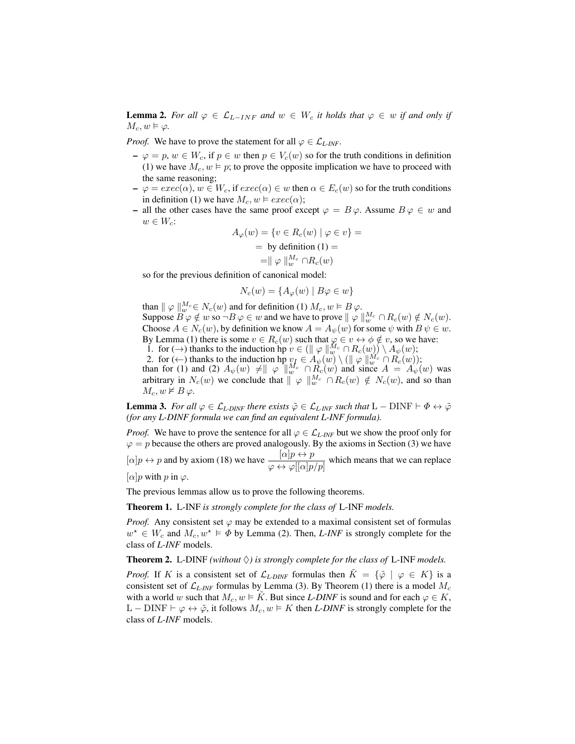**Lemma 2.** For all  $\varphi \in \mathcal{L}_{L-INF}$  and  $w \in W_c$  it holds that  $\varphi \in w$  if and only if  $M_c, w \vDash \varphi$ .

*Proof.* We have to prove the statement for all  $\varphi \in \mathcal{L}_{L-INF}$ .

- $-\varphi = p, w \in W_c$ , if  $p \in w$  then  $p \in V_c(w)$  so for the truth conditions in definition (1) we have  $M_c$ ,  $w \models p$ ; to prove the opposite implication we have to proceed with the same reasoning;
- $\varphi = exec(\alpha), w \in W_c$ , if  $exec(\alpha) \in w$  then  $\alpha \in E_c(w)$  so for the truth conditions in definition (1) we have  $M_c$ ,  $w \vDash exec(\alpha)$ ;
- all the other cases have the same proof except  $\varphi = B \varphi$ . Assume  $B \varphi \in w$  and  $w \in W_c$ :

$$
A_{\varphi}(w) = \{v \in R_c(w) \mid \varphi \in v\} =
$$
  
= by definition (1) =  
=  $\parallel \varphi \parallel_{w_c}^{M_c} \cap R_c(w)$ 

so for the previous definition of canonical model:

$$
N_c(w) = \{ A_{\varphi}(w) \mid B\varphi \in w \}
$$

than  $\|\varphi\|_{w}^{M_c} \in N_c(w)$  and for definition (1)  $M_c, w \models B \varphi$ . Suppose  $\overline{B}\varphi \notin w$  so  $\neg B\varphi \in w$  and we have to prove  $\|\varphi\|_w^{M_c} \cap R_c(w) \notin N_c(w)$ . Choose  $A \in N_c(w)$ , by definition we know  $A = A_{\psi}(w)$  for some  $\psi$  with  $B \psi \in w$ . By Lemma (1) there is some  $v \in R_c(w)$  such that  $\varphi \in v \leftrightarrow \phi \notin v$ , so we have: 1. for  $(\rightarrow)$  thanks to the induction hp  $v \in (\n\parallel \varphi \parallel_{w}^{M_c} \cap R_c(w)) \setminus A_{\psi}(w);$ 

2. for  $(\leftarrow)$  thanks to the induction hp  $v_j \in A_{\psi}(w) \setminus (\|\varphi\|_{w}^{M_c} \cap R_c(w));$ 

than for (1) and (2)  $A_{\psi}(w) \neq ||\varphi||_{w}^{M_{c}} \cap \check{R_{c}}(w)$  and since  $A = A_{\psi}(w)$  was arbitrary in  $N_c(w)$  we conclude that  $\|\varphi\|_w^{M_c} \cap R_c(w) \notin N_c(w)$ , and so than  $M_c, w \not\vDash B \varphi$ .

**Lemma 3.** For all  $\varphi \in \mathcal{L}_{L-DINF}$  there exists  $\tilde{\varphi} \in \mathcal{L}_{L-INF}$  such that  $L - DINF \vdash \Phi \leftrightarrow \tilde{\varphi}$ *(for any L-DINF formula we can find an equivalent L-INF formula).*

*Proof.* We have to prove the sentence for all  $\varphi \in \mathcal{L}_{L\textrm{-}INF}$  but we show the proof only for  $\varphi = p$  because the others are proved analogously. By the axioms in Section (3) we have  $[\alpha]p \leftrightarrow p$  and by axiom (18) we have  $\frac{[\alpha]p \leftrightarrow p}{\varphi \leftrightarrow \varphi([\alpha]p/p]}$  which means that we can replace  $[\alpha]$ *p* with *p* in  $\varphi$ .

The previous lemmas allow us to prove the following theorems.

Theorem 1. L-INF *is strongly complete for the class of* L-INF *models.*

*Proof.* Any consistent set  $\varphi$  may be extended to a maximal consistent set of formulas  $w^* \in W_c$  and  $M_c, w^* \models \Phi$  by Lemma (2). Then, *L-INF* is strongly complete for the class of *L-INF* models.

**Theorem 2.** L-DINF *(without*  $\Diamond$ ) *is strongly complete for the class of* L-INF *models.* 

*Proof.* If K is a consistent set of  $\mathcal{L}_{L-DINF}$  formulas then  $\tilde{K} = {\tilde{\varphi} \mid \varphi \in K}$  is a consistent set of  $\mathcal{L}_{L\textrm{-}INF}$  formulas by Lemma (3). By Theorem (1) there is a model  $M_c$ with a world w such that  $M_c$ ,  $w \in K$ . But since *L-DINF* is sound and for each  $\varphi \in K$ , L − DINF  $\vdash \varphi \leftrightarrow \tilde{\varphi}$ , it follows  $M_c, w \models K$  then *L-DINF* is strongly complete for the class of *L-INF* models.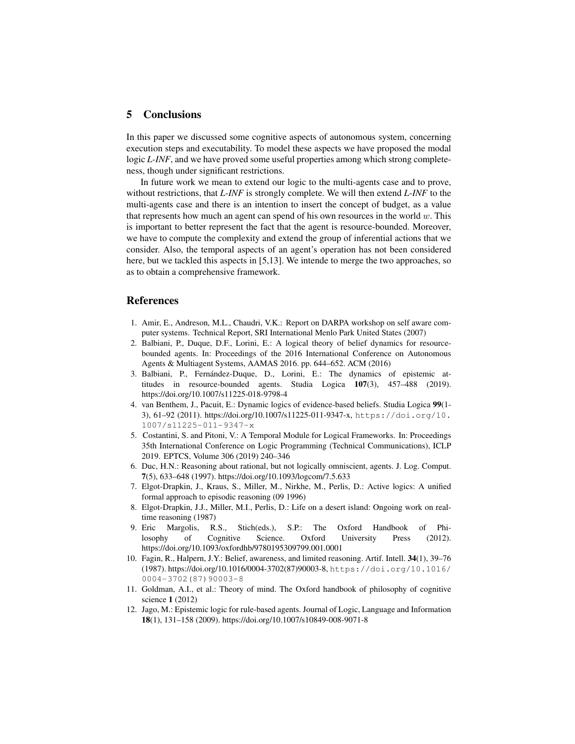## 5 Conclusions

In this paper we discussed some cognitive aspects of autonomous system, concerning execution steps and executability. To model these aspects we have proposed the modal logic *L-INF*, and we have proved some useful properties among which strong completeness, though under significant restrictions.

In future work we mean to extend our logic to the multi-agents case and to prove, without restrictions, that *L-INF* is strongly complete. We will then extend *L-INF* to the multi-agents case and there is an intention to insert the concept of budget, as a value that represents how much an agent can spend of his own resources in the world  $w$ . This is important to better represent the fact that the agent is resource-bounded. Moreover, we have to compute the complexity and extend the group of inferential actions that we consider. Also, the temporal aspects of an agent's operation has not been considered here, but we tackled this aspects in [5,13]. We intende to merge the two approaches, so as to obtain a comprehensive framework.

## References

- 1. Amir, E., Andreson, M.L., Chaudri, V.K.: Report on DARPA workshop on self aware computer systems. Technical Report, SRI International Menlo Park United States (2007)
- 2. Balbiani, P., Duque, D.F., Lorini, E.: A logical theory of belief dynamics for resourcebounded agents. In: Proceedings of the 2016 International Conference on Autonomous Agents & Multiagent Systems, AAMAS 2016. pp. 644–652. ACM (2016)
- 3. Balbiani, P., Fernandez-Duque, D., Lorini, E.: The dynamics of epistemic at- ´ titudes in resource-bounded agents. Studia Logica 107(3), 457–488 (2019). https://doi.org/10.1007/s11225-018-9798-4
- 4. van Benthem, J., Pacuit, E.: Dynamic logics of evidence-based beliefs. Studia Logica 99(1- 3), 61–92 (2011). https://doi.org/10.1007/s11225-011-9347-x, https://doi.org/10. 1007/s11225-011-9347-x
- 5. Costantini, S. and Pitoni, V.: A Temporal Module for Logical Frameworks. In: Proceedings 35th International Conference on Logic Programming (Technical Communications), ICLP 2019. EPTCS, Volume 306 (2019) 240–346
- 6. Duc, H.N.: Reasoning about rational, but not logically omniscient, agents. J. Log. Comput. 7(5), 633–648 (1997). https://doi.org/10.1093/logcom/7.5.633
- 7. Elgot-Drapkin, J., Kraus, S., Miller, M., Nirkhe, M., Perlis, D.: Active logics: A unified formal approach to episodic reasoning (09 1996)
- 8. Elgot-Drapkin, J.J., Miller, M.I., Perlis, D.: Life on a desert island: Ongoing work on realtime reasoning (1987)
- 9. Eric Margolis, R.S., Stich(eds.), S.P.: The Oxford Handbook of Philosophy of Cognitive Science. Oxford University Press (2012). https://doi.org/10.1093/oxfordhb/9780195309799.001.0001
- 10. Fagin, R., Halpern, J.Y.: Belief, awareness, and limited reasoning. Artif. Intell. 34(1), 39–76 (1987). https://doi.org/10.1016/0004-3702(87)90003-8, https://doi.org/10.1016/ 0004-3702(87)90003-8
- 11. Goldman, A.I., et al.: Theory of mind. The Oxford handbook of philosophy of cognitive science 1 (2012)
- 12. Jago, M.: Epistemic logic for rule-based agents. Journal of Logic, Language and Information 18(1), 131–158 (2009). https://doi.org/10.1007/s10849-008-9071-8